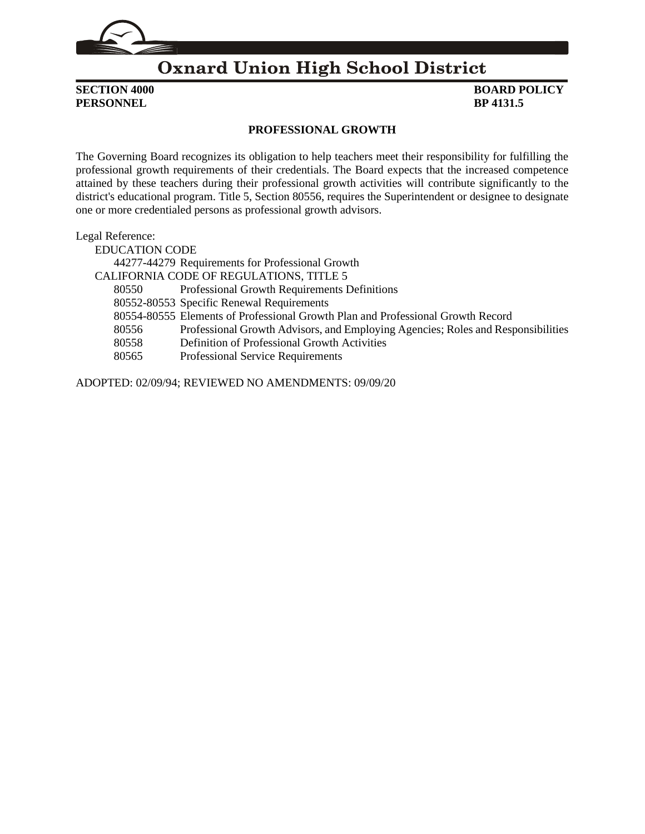

### **Oxnard Union High School District**

**PERSONNEL BP** 4131.5

## **SECTION 4000 BOARD POLICY**

#### **PROFESSIONAL GROWTH**

The Governing Board recognizes its obligation to help teachers meet their responsibility for fulfilling the professional growth requirements of their credentials. The Board expects that the increased competence attained by these teachers during their professional growth activities will contribute significantly to the district's educational program. Title 5, Section 80556, requires the Superintendent or designee to designate one or more credentialed persons as professional growth advisors.

Legal Reference:

EDUCATION CODE 44277-44279 Requirements for Professional Growth CALIFORNIA CODE OF REGULATIONS, TITLE 5 80550 Professional Growth Requirements Definitions 80552-80553 Specific Renewal Requirements 80554-80555 Elements of Professional Growth Plan and Professional Growth Record 80556 Professional Growth Advisors, and Employing Agencies; Roles and Responsibilities 80558 Definition of Professional Growth Activities 80565 Professional Service Requirements

ADOPTED: 02/09/94; REVIEWED NO AMENDMENTS: 09/09/20